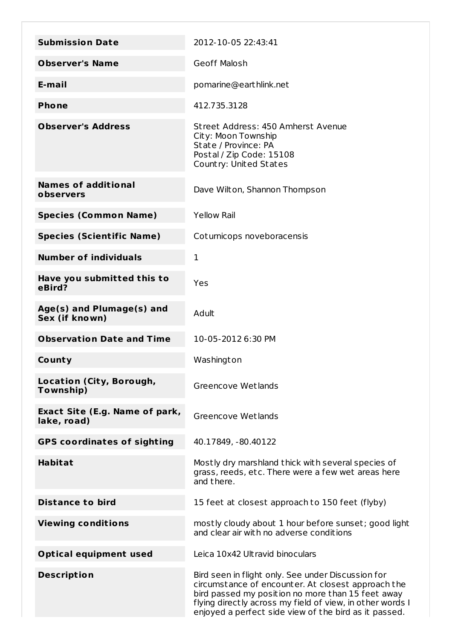| <b>Submission Date</b>                        | 2012-10-05 22:43:41                                                                                                                                                                                                                                                                 |
|-----------------------------------------------|-------------------------------------------------------------------------------------------------------------------------------------------------------------------------------------------------------------------------------------------------------------------------------------|
| <b>Observer's Name</b>                        | Geoff Malosh                                                                                                                                                                                                                                                                        |
|                                               |                                                                                                                                                                                                                                                                                     |
| E-mail                                        | pomarine@earthlink.net                                                                                                                                                                                                                                                              |
| <b>Phone</b>                                  | 412.735.3128                                                                                                                                                                                                                                                                        |
| <b>Observer's Address</b>                     | Street Address: 450 Amherst Avenue<br>City: Moon Township<br>State / Province: PA<br>Postal / Zip Code: 15108<br>Country: United States                                                                                                                                             |
| <b>Names of additional</b><br>observers       | Dave Wilton, Shannon Thompson                                                                                                                                                                                                                                                       |
| <b>Species (Common Name)</b>                  | <b>Yellow Rail</b>                                                                                                                                                                                                                                                                  |
| <b>Species (Scientific Name)</b>              | Coturnicops noveboracensis                                                                                                                                                                                                                                                          |
| <b>Number of individuals</b>                  | 1                                                                                                                                                                                                                                                                                   |
| Have you submitted this to<br>eBird?          | Yes                                                                                                                                                                                                                                                                                 |
| Age(s) and Plumage(s) and<br>Sex (if known)   | Adult                                                                                                                                                                                                                                                                               |
| <b>Observation Date and Time</b>              | 10-05-2012 6:30 PM                                                                                                                                                                                                                                                                  |
| County                                        | Washington                                                                                                                                                                                                                                                                          |
| Location (City, Borough,<br>Township)         | Greencove Wetlands                                                                                                                                                                                                                                                                  |
| Exact Site (E.g. Name of park,<br>lake, road) | Greencove Wetlands                                                                                                                                                                                                                                                                  |
| <b>GPS coordinates of sighting</b>            | 40.17849, -80.40122                                                                                                                                                                                                                                                                 |
| <b>Habitat</b>                                | Mostly dry marshland thick with several species of<br>grass, reeds, etc. There were a few wet areas here<br>and there.                                                                                                                                                              |
| <b>Distance to bird</b>                       | 15 feet at closest approach to 150 feet (flyby)                                                                                                                                                                                                                                     |
| <b>Viewing conditions</b>                     | mostly cloudy about 1 hour before sunset; good light<br>and clear air with no adverse conditions                                                                                                                                                                                    |
| <b>Optical equipment used</b>                 | Leica 10x42 Ultravid binoculars                                                                                                                                                                                                                                                     |
| <b>Description</b>                            | Bird seen in flight only. See under Discussion for<br>circumstance of encounter. At closest approach the<br>bird passed my position no more than 15 feet away<br>flying directly across my field of view, in other words I<br>enjoyed a perfect side view of the bird as it passed. |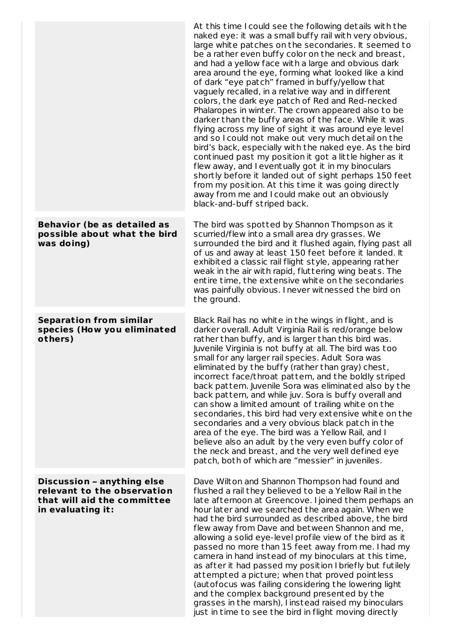|                                                                                                               | At this time I could see the following details with the<br>naked eye: it was a small buffy rail with very obvious,<br>large white patches on the secondaries. It seemed to<br>be a rather even buffy color on the neck and breast,<br>and had a yellow face with a large and obvious dark<br>area around the eye, forming what looked like a kind<br>of dark "eye patch" framed in buffy/yellow that<br>vaguely recalled, in a relative way and in different<br>colors, the dark eye patch of Red and Red-necked<br>Phalaropes in winter. The crown appeared also to be<br>darker than the buffy areas of the face. While it was<br>flying across my line of sight it was around eye level<br>and so I could not make out very much detail on the<br>bird's back, especially with the naked eye. As the bird<br>continued past my position it got a little higher as it<br>flew away, and I eventually got it in my binoculars<br>shortly before it landed out of sight perhaps 150 feet<br>from my position. At this time it was going directly<br>away from me and I could make out an obviously<br>black-and-buff striped back. |
|---------------------------------------------------------------------------------------------------------------|------------------------------------------------------------------------------------------------------------------------------------------------------------------------------------------------------------------------------------------------------------------------------------------------------------------------------------------------------------------------------------------------------------------------------------------------------------------------------------------------------------------------------------------------------------------------------------------------------------------------------------------------------------------------------------------------------------------------------------------------------------------------------------------------------------------------------------------------------------------------------------------------------------------------------------------------------------------------------------------------------------------------------------------------------------------------------------------------------------------------------------|
| <b>Behavior (be as detailed as</b><br>possible about what the bird<br>was doing)                              | The bird was spotted by Shannon Thompson as it<br>scurried/flew into a small area dry grasses. We<br>surrounded the bird and it flushed again, flying past all<br>of us and away at least 150 feet before it landed. It<br>exhibited a classic rail flight style, appearing rather<br>weak in the air with rapid, fluttering wing beats. The<br>entire time, the extensive white on the secondaries<br>was painfully obvious. I never witnessed the bird on<br>the ground.                                                                                                                                                                                                                                                                                                                                                                                                                                                                                                                                                                                                                                                         |
| <b>Separation from similar</b><br>species (How you eliminated<br>others)                                      | Black Rail has no white in the wings in flight, and is<br>darker overall. Adult Virginia Rail is red/orange below<br>rather than buffy, and is larger than this bird was.<br>Juvenile Virginia is not buffy at all. The bird was too<br>small for any larger rail species. Adult Sora was<br>eliminated by the buffy (rather than gray) chest,<br>incorrect face/throat pattern, and the boldly striped<br>back pattern. Juvenile Sora was eliminated also by the<br>back pattern, and while juv. Sora is buffy overall and<br>can show a limited amount of trailing white on the<br>secondaries, this bird had very extensive white on the<br>secondaries and a very obvious black patch in the<br>area of the eye. The bird was a Yellow Rail, and I<br>believe also an adult by the very even buffy color of<br>the neck and breast, and the very well defined eye<br>patch, both of which are "messier" in juveniles.                                                                                                                                                                                                          |
| Discussion - anything else<br>relevant to the observation<br>that will aid the committee<br>in evaluating it: | Dave Wilton and Shannon Thompson had found and<br>flushed a rail they believed to be a Yellow Rail in the<br>late afternoon at Greencove. I joined them perhaps an<br>hour later and we searched the area again. When we<br>had the bird surrounded as described above, the bird<br>flew away from Dave and between Shannon and me,<br>allowing a solid eye-level profile view of the bird as it<br>passed no more than 15 feet away from me. I had my<br>camera in hand instead of my binoculars at this time,<br>as after it had passed my position I briefly but futilely<br>attempted a picture; when that proved pointless<br>(autofocus was failing considering the lowering light<br>and the complex background presented by the<br>grasses in the marsh), I instead raised my binoculars<br>just in time to see the bird in flight moving directly                                                                                                                                                                                                                                                                         |